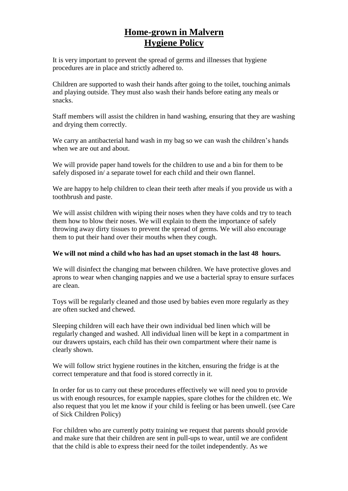## **Home-grown in Malvern Hygiene Policy**

It is very important to prevent the spread of germs and illnesses that hygiene procedures are in place and strictly adhered to.

Children are supported to wash their hands after going to the toilet, touching animals and playing outside. They must also wash their hands before eating any meals or snacks.

Staff members will assist the children in hand washing, ensuring that they are washing and drying them correctly.

We carry an antibacterial hand wash in my bag so we can wash the children's hands when we are out and about.

We will provide paper hand towels for the children to use and a bin for them to be safely disposed in/ a separate towel for each child and their own flannel.

We are happy to help children to clean their teeth after meals if you provide us with a toothbrush and paste.

We will assist children with wiping their noses when they have colds and try to teach them how to blow their noses. We will explain to them the importance of safely throwing away dirty tissues to prevent the spread of germs. We will also encourage them to put their hand over their mouths when they cough.

## **We will not mind a child who has had an upset stomach in the last 48 hours.**

We will disinfect the changing mat between children. We have protective gloves and aprons to wear when changing nappies and we use a bacterial spray to ensure surfaces are clean.

Toys will be regularly cleaned and those used by babies even more regularly as they are often sucked and chewed.

Sleeping children will each have their own individual bed linen which will be regularly changed and washed. All individual linen will be kept in a compartment in our drawers upstairs, each child has their own compartment where their name is clearly shown.

We will follow strict hygiene routines in the kitchen, ensuring the fridge is at the correct temperature and that food is stored correctly in it.

In order for us to carry out these procedures effectively we will need you to provide us with enough resources, for example nappies, spare clothes for the children etc. We also request that you let me know if your child is feeling or has been unwell. (see Care of Sick Children Policy)

For children who are currently potty training we request that parents should provide and make sure that their children are sent in pull-ups to wear, until we are confident that the child is able to express their need for the toilet independently. As we